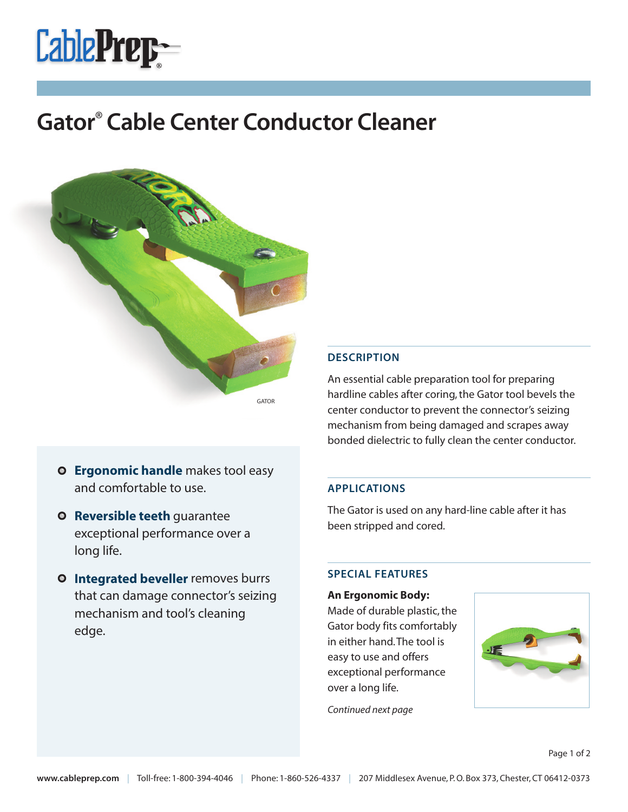# **CablePreg-**

# **Gator® Cable Center Conductor Cleaner**



- **Ergonomic handle** makes tool easy and comfortable to use.
- **O** Reversible teeth guarantee exceptional performance over a long life.
- **Integrated beveller** removes burrs that can damage connector's seizing mechanism and tool's cleaning edge.

# **DESCRIPTION**

An essential cable preparation tool for preparing hardline cables after coring, the Gator tool bevels the center conductor to prevent the connector's seizing mechanism from being damaged and scrapes away bonded dielectric to fully clean the center conductor.

# **APPLICATIONS**

The Gator is used on any hard-line cable after it has been stripped and cored.

### **SPECIAL FEATURES**

**An Ergonomic Body:**

Made of durable plastic, the Gator body fits comfortably in either hand.The tool is easy to use and offers exceptional performance over a long life.



*Continued next page*

Page 1 of 2